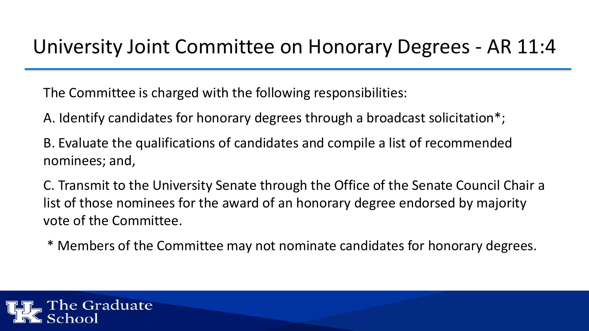### University Joint Committee on Honorary Degrees - AR 11:4

The Committee is charged with the following responsibilities:

- A. Identify candidates for honorary degrees through a broadcast solicitation\*;
- B. Evaluate the qualifications of candidates and compile a list of recommended nominees; and,
- C. Transmit to the University Senate through the Office of the Senate Council Chair a list of those nominees for the award of an honorary degree endorsed by majority vote of the Committee.
- \* Members of the Committee may not nominate candidates for honorary degrees.

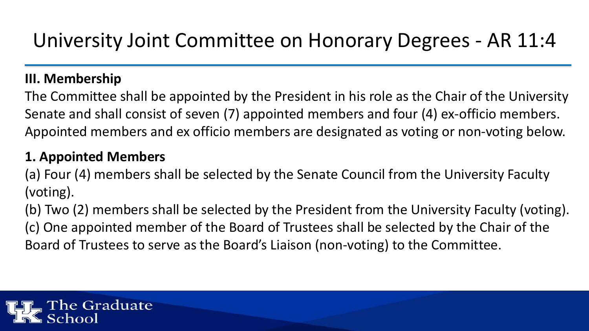## University Joint Committee on Honorary Degrees - AR 11:4

### **III. Membership**

The Committee shall be appointed by the President in his role as the Chair of the University Senate and shall consist of seven (7) appointed members and four (4) ex-officio members. Appointed members and ex officio members are designated as voting or non-voting below.

### **1. Appointed Members**

(a) Four (4) members shall be selected by the Senate Council from the University Faculty (voting).

(b) Two (2) members shall be selected by the President from the University Faculty (voting). (c) One appointed member of the Board of Trustees shall be selected by the Chair of the Board of Trustees to serve as the Board's Liaison (non-voting) to the Committee.

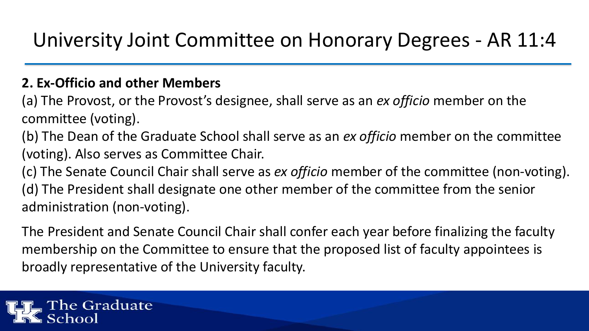## University Joint Committee on Honorary Degrees - AR 11:4

### **2. Ex-Officio and other Members**

(a) The Provost, or the Provost's designee, shall serve as an *ex officio* member on the committee (voting).

(b) The Dean of the Graduate School shall serve as an *ex officio* member on the committee (voting). Also serves as Committee Chair.

(c) The Senate Council Chair shall serve as *ex officio* member of the committee (non-voting). (d) The President shall designate one other member of the committee from the senior administration (non-voting).

The President and Senate Council Chair shall confer each year before finalizing the faculty membership on the Committee to ensure that the proposed list of faculty appointees is broadly representative of the University faculty.

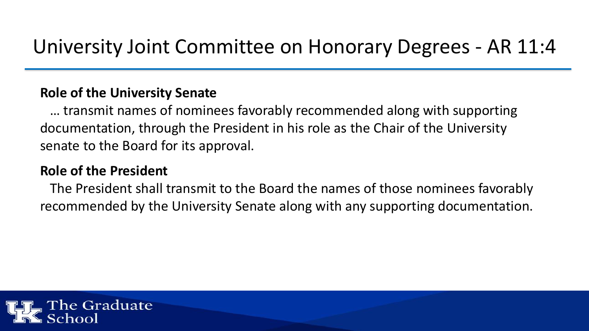#### **Role of the University Senate**

… transmit names of nominees favorably recommended along with supporting documentation, through the President in his role as the Chair of the University senate to the Board for its approval.

### **Role of the President**

The President shall transmit to the Board the names of those nominees favorably recommended by the University Senate along with any supporting documentation.

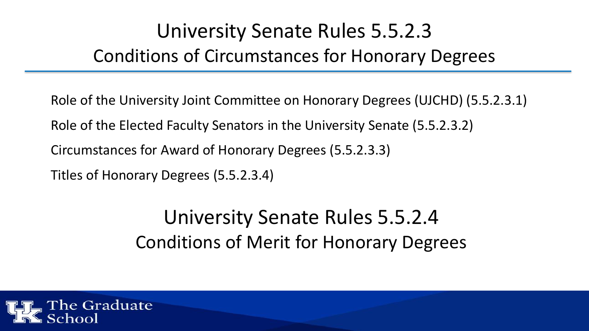# University Senate Rules 5.5.2.3 Conditions of Circumstances for Honorary Degrees

Role of the University Joint Committee on Honorary Degrees (UJCHD) (5.5.2.3.1) Role of the Elected Faculty Senators in the University Senate (5.5.2.3.2) Circumstances for Award of Honorary Degrees (5.5.2.3.3) Titles of Honorary Degrees (5.5.2.3.4)

## University Senate Rules 5.5.2.4 Conditions of Merit for Honorary Degrees